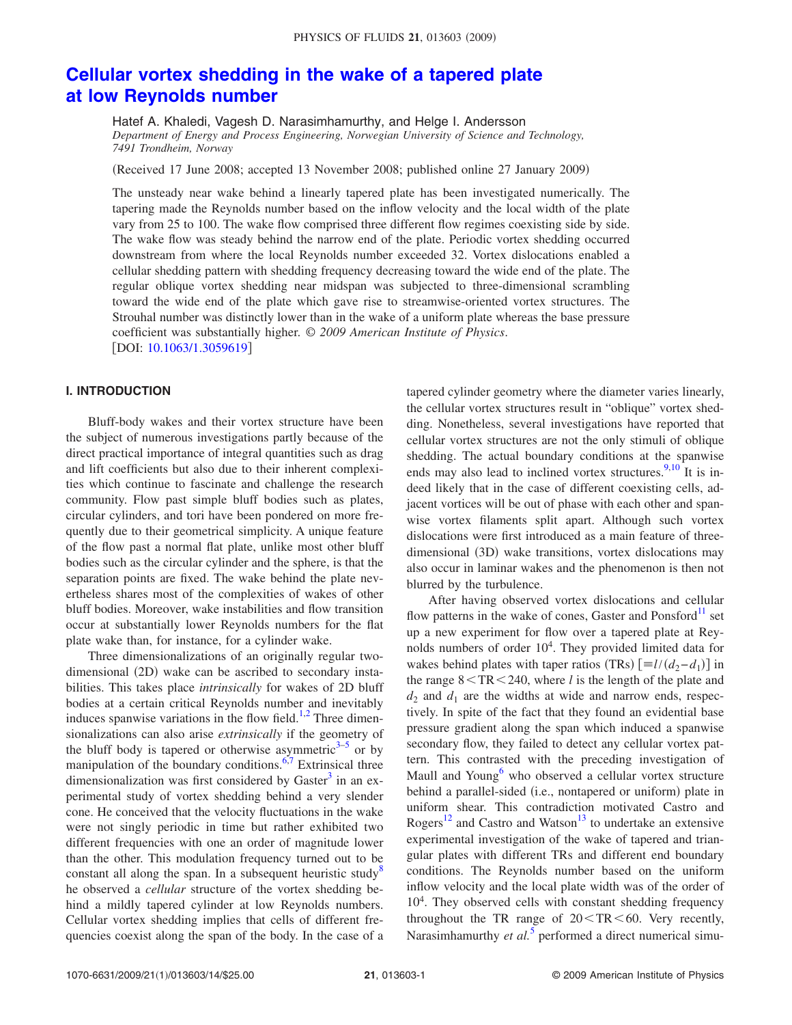# **Cellular vortex shedding in the wake of a tapered plate at low Reynolds number**

Hatef A. Khaledi, Vagesh D. Narasimhamurthy, and Helge I. Andersson *Department of Energy and Process Engineering, Norwegian University of Science and Technology, 7491 Trondheim, Norway*

(Received 17 June 2008; accepted 13 November 2008; published online 27 January 2009)

The unsteady near wake behind a linearly tapered plate has been investigated numerically. The tapering made the Reynolds number based on the inflow velocity and the local width of the plate vary from 25 to 100. The wake flow comprised three different flow regimes coexisting side by side. The wake flow was steady behind the narrow end of the plate. Periodic vortex shedding occurred downstream from where the local Reynolds number exceeded 32. Vortex dislocations enabled a cellular shedding pattern with shedding frequency decreasing toward the wide end of the plate. The regular oblique vortex shedding near midspan was subjected to three-dimensional scrambling toward the wide end of the plate which gave rise to streamwise-oriented vortex structures. The Strouhal number was distinctly lower than in the wake of a uniform plate whereas the base pressure coefficient was substantially higher. © *2009 American Institute of Physics*. [DOI: 10.1063/1.3059619]

## **I. INTRODUCTION**

Bluff-body wakes and their vortex structure have been the subject of numerous investigations partly because of the direct practical importance of integral quantities such as drag and lift coefficients but also due to their inherent complexities which continue to fascinate and challenge the research community. Flow past simple bluff bodies such as plates, circular cylinders, and tori have been pondered on more frequently due to their geometrical simplicity. A unique feature of the flow past a normal flat plate, unlike most other bluff bodies such as the circular cylinder and the sphere, is that the separation points are fixed. The wake behind the plate nevertheless shares most of the complexities of wakes of other bluff bodies. Moreover, wake instabilities and flow transition occur at substantially lower Reynolds numbers for the flat plate wake than, for instance, for a cylinder wake.

Three dimensionalizations of an originally regular twodimensional (2D) wake can be ascribed to secondary instabilities. This takes place *intrinsically* for wakes of 2D bluff bodies at a certain critical Reynolds number and inevitably induces spanwise variations in the flow field.<sup>1,2</sup> Three dimensionalizations can also arise *extrinsically* if the geometry of the bluff body is tapered or otherwise asymmetric $3-5$  or by manipulation of the boundary conditions.<sup>6,7</sup> Extrinsical three dimensionalization was first considered by Gaster<sup>3</sup> in an experimental study of vortex shedding behind a very slender cone. He conceived that the velocity fluctuations in the wake were not singly periodic in time but rather exhibited two different frequencies with one an order of magnitude lower than the other. This modulation frequency turned out to be constant all along the span. In a subsequent heuristic study<sup>8</sup> he observed a *cellular* structure of the vortex shedding behind a mildly tapered cylinder at low Reynolds numbers. Cellular vortex shedding implies that cells of different frequencies coexist along the span of the body. In the case of a tapered cylinder geometry where the diameter varies linearly, the cellular vortex structures result in "oblique" vortex shedding. Nonetheless, several investigations have reported that cellular vortex structures are not the only stimuli of oblique shedding. The actual boundary conditions at the spanwise ends may also lead to inclined vortex structures. $9,10$  It is indeed likely that in the case of different coexisting cells, adjacent vortices will be out of phase with each other and spanwise vortex filaments split apart. Although such vortex dislocations were first introduced as a main feature of threedimensional (3D) wake transitions, vortex dislocations may also occur in laminar wakes and the phenomenon is then not blurred by the turbulence.

After having observed vortex dislocations and cellular flow patterns in the wake of cones, Gaster and Ponsford $<sup>11</sup>$  set</sup> up a new experiment for flow over a tapered plate at Reynolds numbers of order 10<sup>4</sup>. They provided limited data for wakes behind plates with taper ratios (TRs)  $[\equiv l/(d_2 - d_1)]$  in the range  $8 < TR < 240$ , where *l* is the length of the plate and  $d_2$  and  $d_1$  are the widths at wide and narrow ends, respectively. In spite of the fact that they found an evidential base pressure gradient along the span which induced a spanwise secondary flow, they failed to detect any cellular vortex pattern. This contrasted with the preceding investigation of Maull and Young<sup>6</sup> who observed a cellular vortex structure behind a parallel-sided (i.e., nontapered or uniform) plate in uniform shear. This contradiction motivated Castro and Rogers<sup>12</sup> and Castro and Watson<sup>13</sup> to undertake an extensive experimental investigation of the wake of tapered and triangular plates with different TRs and different end boundary conditions. The Reynolds number based on the uniform inflow velocity and the local plate width was of the order of 10<sup>4</sup>. They observed cells with constant shedding frequency throughout the TR range of  $20 < TR < 60$ . Very recently, Narasimhamurthy *et al.*<sup>5</sup> performed a direct numerical simu-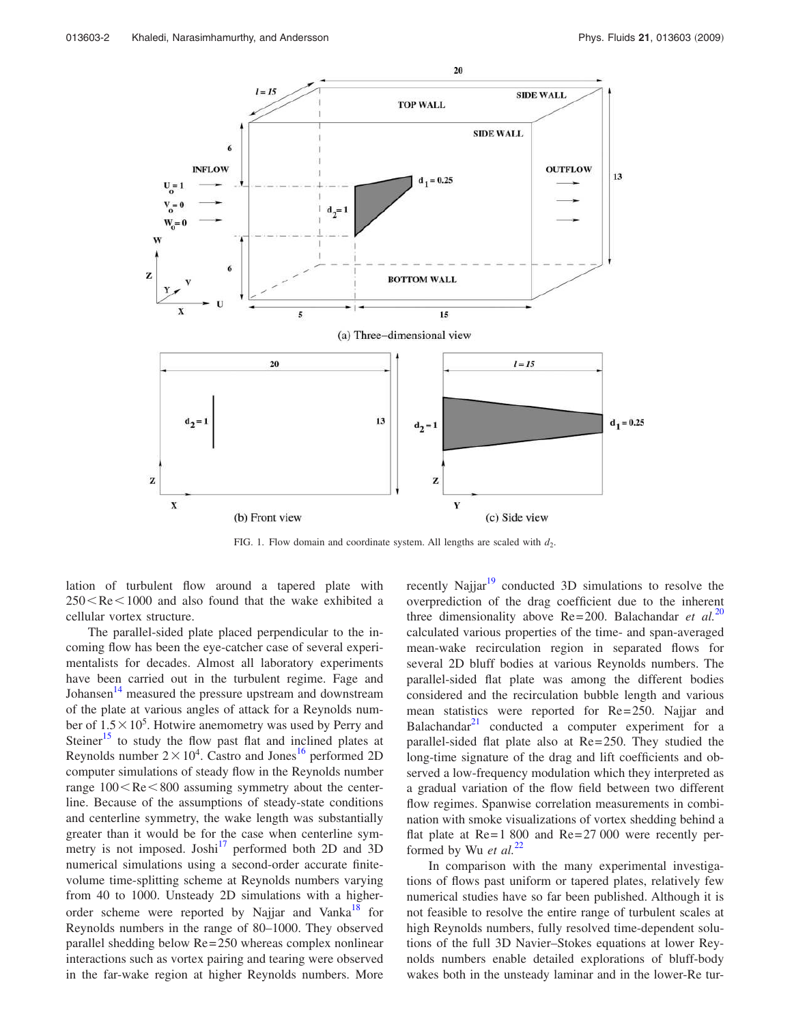

FIG. 1. Flow domain and coordinate system. All lengths are scaled with  $d_2$ .

lation of turbulent flow around a tapered plate with  $250 < Re < 1000$  and also found that the wake exhibited a cellular vortex structure.

The parallel-sided plate placed perpendicular to the incoming flow has been the eye-catcher case of several experimentalists for decades. Almost all laboratory experiments have been carried out in the turbulent regime. Fage and Johansen<sup>14</sup> measured the pressure upstream and downstream of the plate at various angles of attack for a Reynolds number of  $1.5 \times 10^5$ . Hotwire anemometry was used by Perry and Steiner $^{15}$  to study the flow past flat and inclined plates at Reynolds number  $2 \times 10^4$ . Castro and Jones<sup>16</sup> performed 2D computer simulations of steady flow in the Reynolds number range  $100 < Re < 800$  assuming symmetry about the centerline. Because of the assumptions of steady-state conditions and centerline symmetry, the wake length was substantially greater than it would be for the case when centerline symmetry is not imposed. Joshi<sup>17</sup> performed both 2D and 3D numerical simulations using a second-order accurate finitevolume time-splitting scheme at Reynolds numbers varying from 40 to 1000. Unsteady 2D simulations with a higherorder scheme were reported by Najjar and Vanka<sup>18</sup> for Reynolds numbers in the range of 80–1000. They observed parallel shedding below Re=250 whereas complex nonlinear interactions such as vortex pairing and tearing were observed in the far-wake region at higher Reynolds numbers. More recently Najjar<sup>19</sup> conducted 3D simulations to resolve the overprediction of the drag coefficient due to the inherent three dimensionality above  $Re = 200$ . Balachandar *et al.*<sup>20</sup> calculated various properties of the time- and span-averaged mean-wake recirculation region in separated flows for several 2D bluff bodies at various Reynolds numbers. The parallel-sided flat plate was among the different bodies considered and the recirculation bubble length and various mean statistics were reported for Re=250. Najjar and Balachandar<sup>21</sup> conducted a computer experiment for a parallel-sided flat plate also at Re=250. They studied the long-time signature of the drag and lift coefficients and observed a low-frequency modulation which they interpreted as a gradual variation of the flow field between two different flow regimes. Spanwise correlation measurements in combination with smoke visualizations of vortex shedding behind a flat plate at Re=1 800 and Re=27 000 were recently performed by Wu *et al.*<sup>22</sup>

In comparison with the many experimental investigations of flows past uniform or tapered plates, relatively few numerical studies have so far been published. Although it is not feasible to resolve the entire range of turbulent scales at high Reynolds numbers, fully resolved time-dependent solutions of the full 3D Navier–Stokes equations at lower Reynolds numbers enable detailed explorations of bluff-body wakes both in the unsteady laminar and in the lower-Re tur-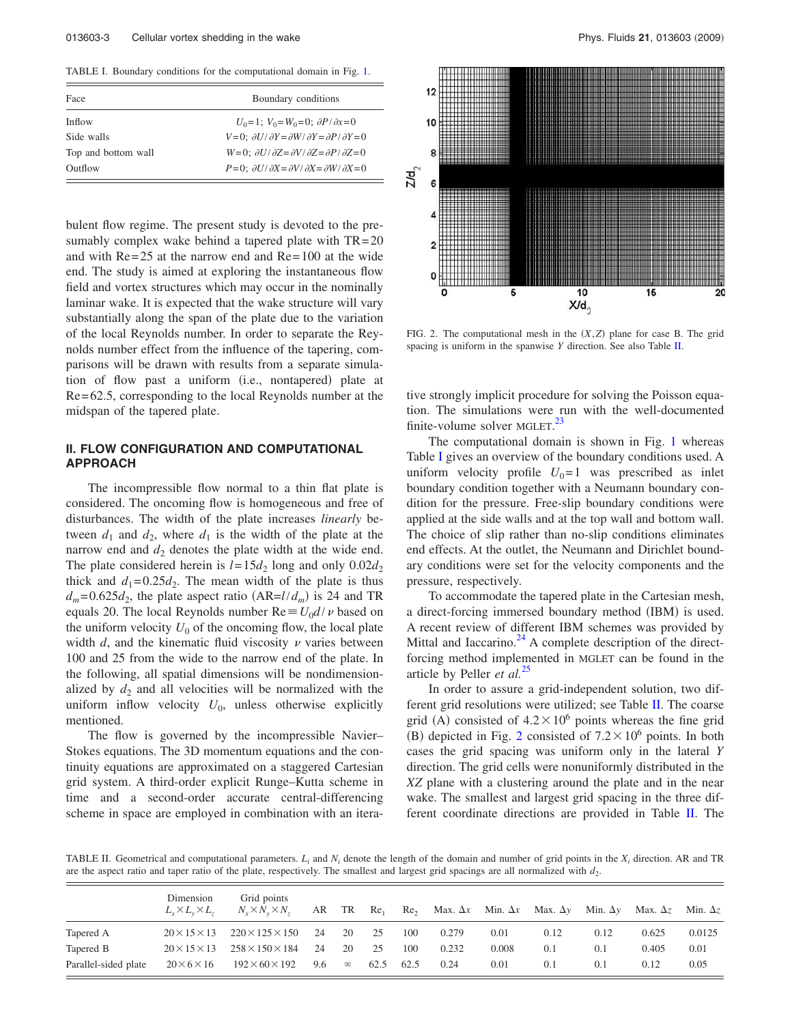TABLE I. Boundary conditions for the computational domain in Fig. 1.

| Face                | Boundary conditions                                                                 |
|---------------------|-------------------------------------------------------------------------------------|
| Inflow              | $U_0 = 1$ ; $V_0 = W_0 = 0$ ; $\partial P / \partial x = 0$                         |
| Side walls          | $V=0$ : $\partial U/\partial Y = \partial W/\partial Y = \partial P/\partial Y = 0$ |
| Top and bottom wall | $W=0$ : $\partial U/\partial Z = \partial V/\partial Z = \partial P/\partial Z = 0$ |
| Outflow             | $P=0$ ; $\partial U/\partial X = \partial V/\partial X = \partial W/\partial X = 0$ |

bulent flow regime. The present study is devoted to the presumably complex wake behind a tapered plate with  $TR=20$ and with Re=25 at the narrow end and Re=100 at the wide end. The study is aimed at exploring the instantaneous flow field and vortex structures which may occur in the nominally laminar wake. It is expected that the wake structure will vary substantially along the span of the plate due to the variation of the local Reynolds number. In order to separate the Reynolds number effect from the influence of the tapering, comparisons will be drawn with results from a separate simulation of flow past a uniform (i.e., nontapered) plate at Re=62.5, corresponding to the local Reynolds number at the midspan of the tapered plate.

# **II. FLOW CONFIGURATION AND COMPUTATIONAL APPROACH**

The incompressible flow normal to a thin flat plate is considered. The oncoming flow is homogeneous and free of disturbances. The width of the plate increases *linearly* between  $d_1$  and  $d_2$ , where  $d_1$  is the width of the plate at the narrow end and  $d_2$  denotes the plate width at the wide end. The plate considered herein is  $l = 15d_2$  long and only  $0.02d_2$ thick and  $d_1 = 0.25d_2$ . The mean width of the plate is thus  $d_m = 0.625d_2$ , the plate aspect ratio  $(AR = l/d_m)$  is 24 and TR equals 20. The local Reynolds number  $\text{Re} \equiv U_0 d / \nu$  based on the uniform velocity  $U_0$  of the oncoming flow, the local plate width  $d$ , and the kinematic fluid viscosity  $\nu$  varies between 100 and 25 from the wide to the narrow end of the plate. In the following, all spatial dimensions will be nondimensionalized by  $d_2$  and all velocities will be normalized with the uniform inflow velocity  $U_0$ , unless otherwise explicitly mentioned.

The flow is governed by the incompressible Navier– Stokes equations. The 3D momentum equations and the continuity equations are approximated on a staggered Cartesian grid system. A third-order explicit Runge–Kutta scheme in time and a second-order accurate central-differencing scheme in space are employed in combination with an itera-



FIG. 2. The computational mesh in the  $(X, Z)$  plane for case B. The grid spacing is uniform in the spanwise *Y* direction. See also Table II.

tive strongly implicit procedure for solving the Poisson equation. The simulations were run with the well-documented finite-volume solver MGLET.<sup>23</sup>

The computational domain is shown in Fig. 1 whereas Table I gives an overview of the boundary conditions used. A uniform velocity profile  $U_0=1$  was prescribed as inlet boundary condition together with a Neumann boundary condition for the pressure. Free-slip boundary conditions were applied at the side walls and at the top wall and bottom wall. The choice of slip rather than no-slip conditions eliminates end effects. At the outlet, the Neumann and Dirichlet boundary conditions were set for the velocity components and the pressure, respectively.

To accommodate the tapered plate in the Cartesian mesh, a direct-forcing immersed boundary method (IBM) is used. A recent review of different IBM schemes was provided by Mittal and Iaccarino. $24$  A complete description of the directforcing method implemented in MGLET can be found in the article by Peller *et al.*<sup>25</sup>

In order to assure a grid-independent solution, two different grid resolutions were utilized; see Table II. The coarse grid (A) consisted of  $4.2 \times 10^6$  points whereas the fine grid (B) depicted in Fig. 2 consisted of  $7.2 \times 10^6$  points. In both cases the grid spacing was uniform only in the lateral *Y* direction. The grid cells were nonuniformly distributed in the *XZ* plane with a clustering around the plate and in the near wake. The smallest and largest grid spacing in the three different coordinate directions are provided in Table II. The

TABLE II. Geometrical and computational parameters.  $L_i$  and  $N_i$  denote the length of the domain and number of grid points in the  $X_i$  direction. AR and TR are the aspect ratio and taper ratio of the plate, respectively. The smallest and largest grid spacings are all normalized with  $d_2$ .

|                      | Dimension<br>$L_{\nu}\times L_{\nu}\times L_{\tau}$ | Grid points<br>$N_r \times N_v \times N_z$           | AR  | TR       | $Re_1$ | Re <sub>2</sub> |       | Max. $\Delta x$ Min. $\Delta x$ Max. $\Delta y$ |      | Min. $\Delta y$ | Max. $\Delta z$ | Min. $\Delta z$ |
|----------------------|-----------------------------------------------------|------------------------------------------------------|-----|----------|--------|-----------------|-------|-------------------------------------------------|------|-----------------|-----------------|-----------------|
| Tapered A            |                                                     | $20 \times 15 \times 13$ $220 \times 125 \times 150$ | 24  | 20       | 25     | 100             | 0.279 | 0.01                                            | 0.12 | 0.12            | 0.625           | 0.0125          |
| Tapered B            | $20 \times 15 \times 13$                            | $258 \times 150 \times 184$                          | 24  | 20       | 25     | 100             | 0.232 | 0.008                                           | 0.1  | 0.1             | 0.405           | 0.01            |
| Parallel-sided plate | $20\times 6\times 16$                               | $192\times 60\times 192$                             | 9.6 | $\infty$ | 62.5   | 62.5            | 0.24  | 0.01                                            | 0.1  | 0.1             | 0.12            | 0.05            |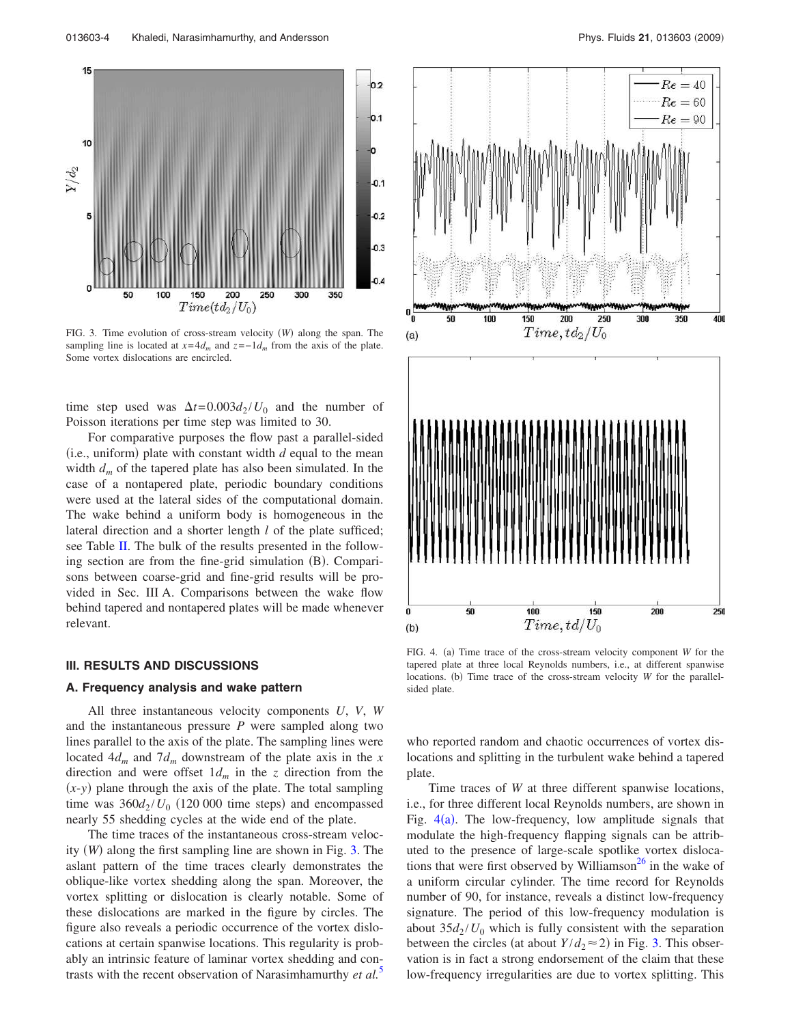

FIG. 3. Time evolution of cross-stream velocity (W) along the span. The sampling line is located at  $x=4d_m$  and  $z=-1d_m$  from the axis of the plate. Some vortex dislocations are encircled.

time step used was  $\Delta t = 0.003 d_2 / U_0$  and the number of Poisson iterations per time step was limited to 30.

For comparative purposes the flow past a parallel-sided  $(i.e., uniform)$  plate with constant width  $d$  equal to the mean width  $d_m$  of the tapered plate has also been simulated. In the case of a nontapered plate, periodic boundary conditions were used at the lateral sides of the computational domain. The wake behind a uniform body is homogeneous in the lateral direction and a shorter length *l* of the plate sufficed; see Table II. The bulk of the results presented in the following section are from the fine-grid simulation (B). Comparisons between coarse-grid and fine-grid results will be provided in Sec. III A. Comparisons between the wake flow behind tapered and nontapered plates will be made whenever relevant.

#### **III. RESULTS AND DISCUSSIONS**

#### **A. Frequency analysis and wake pattern**

All three instantaneous velocity components *U*, *V*, *W* and the instantaneous pressure *P* were sampled along two lines parallel to the axis of the plate. The sampling lines were located  $4d_m$  and  $7d_m$  downstream of the plate axis in the *x* direction and were offset  $1d_m$  in the *z* direction from the *x*-*y*- plane through the axis of the plate. The total sampling time was  $360d_2$ / $U_0$  (120 000 time steps) and encompassed nearly 55 shedding cycles at the wide end of the plate.

The time traces of the instantaneous cross-stream velocity *(W)* along the first sampling line are shown in Fig. 3. The aslant pattern of the time traces clearly demonstrates the oblique-like vortex shedding along the span. Moreover, the vortex splitting or dislocation is clearly notable. Some of these dislocations are marked in the figure by circles. The figure also reveals a periodic occurrence of the vortex dislocations at certain spanwise locations. This regularity is probably an intrinsic feature of laminar vortex shedding and contrasts with the recent observation of Narasimhamurthy *et al.*<sup>5</sup>



FIG. 4. (a) Time trace of the cross-stream velocity component *W* for the tapered plate at three local Reynolds numbers, i.e., at different spanwise locations. (b) Time trace of the cross-stream velocity *W* for the parallelsided plate.

who reported random and chaotic occurrences of vortex dislocations and splitting in the turbulent wake behind a tapered plate.

Time traces of *W* at three different spanwise locations, i.e., for three different local Reynolds numbers, are shown in Fig.  $4(a)$ . The low-frequency, low amplitude signals that modulate the high-frequency flapping signals can be attributed to the presence of large-scale spotlike vortex dislocations that were first observed by Williamson<sup>26</sup> in the wake of a uniform circular cylinder. The time record for Reynolds number of 90, for instance, reveals a distinct low-frequency signature. The period of this low-frequency modulation is about  $35d_2$ / $U_0$  which is fully consistent with the separation between the circles (at about  $Y/d_2 \approx 2$ ) in Fig. 3. This observation is in fact a strong endorsement of the claim that these low-frequency irregularities are due to vortex splitting. This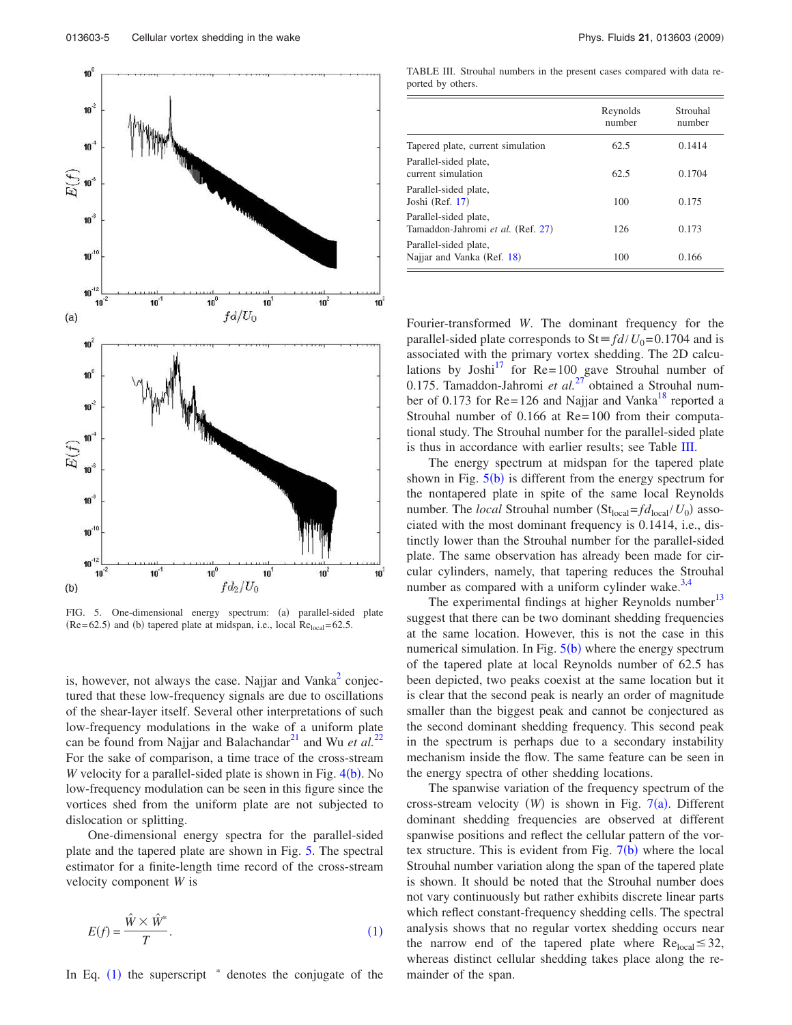

FIG. 5. One-dimensional energy spectrum: (a) parallel-sided plate  $(Re=62.5)$  and (b) tapered plate at midspan, i.e., local  $Re<sub>local</sub> = 62.5$ .

is, however, not always the case. Najjar and Vanka $2$  conjectured that these low-frequency signals are due to oscillations of the shear-layer itself. Several other interpretations of such low-frequency modulations in the wake of a uniform plate can be found from Najjar and Balachandar<sup>21</sup> and Wu *et al.*<sup>22</sup> For the sake of comparison, a time trace of the cross-stream *W* velocity for a parallel-sided plate is shown in Fig.  $4(b)$ . No low-frequency modulation can be seen in this figure since the vortices shed from the uniform plate are not subjected to dislocation or splitting.

One-dimensional energy spectra for the parallel-sided plate and the tapered plate are shown in Fig. 5. The spectral estimator for a finite-length time record of the cross-stream velocity component *W* is

$$
E(f) = \frac{\hat{W} \times \hat{W}^*}{T}.
$$
\n(1)

In Eq.  $(1)$  the superscript  $*$  denotes the conjugate of the

TABLE III. Strouhal numbers in the present cases compared with data reported by others.

|                                                            | Reynolds<br>number | Strouhal |
|------------------------------------------------------------|--------------------|----------|
|                                                            |                    | number   |
| Tapered plate, current simulation                          | 62.5               | 0.1414   |
| Parallel-sided plate,<br>current simulation                | 62.5               | 0.1704   |
| Parallel-sided plate,<br>Joshi (Ref. 17)                   | 100                | 0.175    |
| Parallel-sided plate,<br>Tamaddon-Jahromi et al. (Ref. 27) | 126                | 0.173    |
| Parallel-sided plate,<br>Najjar and Vanka (Ref. 18)        | 100                | 0.166    |

Fourier-transformed *W*. The dominant frequency for the parallel-sided plate corresponds to  $St \equiv f d/U_0 = 0.1704$  and is associated with the primary vortex shedding. The 2D calculations by Joshi<sup>17</sup> for Re=100 gave Strouhal number of 0.175. Tamaddon-Jahromi *et al.*<sup>27</sup> obtained a Strouhal number of 0.173 for  $Re = 126$  and Najjar and Vanka<sup>18</sup> reported a Strouhal number of 0.166 at Re=100 from their computational study. The Strouhal number for the parallel-sided plate is thus in accordance with earlier results; see Table III.

The energy spectrum at midspan for the tapered plate shown in Fig.  $5(b)$  is different from the energy spectrum for the nontapered plate in spite of the same local Reynolds number. The *local* Strouhal number  $(St_{local} = fd_{local}/U_0)$  associated with the most dominant frequency is 0.1414, i.e., distinctly lower than the Strouhal number for the parallel-sided plate. The same observation has already been made for circular cylinders, namely, that tapering reduces the Strouhal number as compared with a uniform cylinder wake. $3,4$ 

The experimental findings at higher Reynolds number<sup>13</sup> suggest that there can be two dominant shedding frequencies at the same location. However, this is not the case in this numerical simulation. In Fig.  $5(b)$  where the energy spectrum of the tapered plate at local Reynolds number of 62.5 has been depicted, two peaks coexist at the same location but it is clear that the second peak is nearly an order of magnitude smaller than the biggest peak and cannot be conjectured as the second dominant shedding frequency. This second peak in the spectrum is perhaps due to a secondary instability mechanism inside the flow. The same feature can be seen in the energy spectra of other shedding locations.

The spanwise variation of the frequency spectrum of the cross-stream velocity  $(W)$  is shown in Fig. 7(a). Different dominant shedding frequencies are observed at different spanwise positions and reflect the cellular pattern of the vortex structure. This is evident from Fig.  $7(b)$  where the local Strouhal number variation along the span of the tapered plate is shown. It should be noted that the Strouhal number does not vary continuously but rather exhibits discrete linear parts which reflect constant-frequency shedding cells. The spectral analysis shows that no regular vortex shedding occurs near the narrow end of the tapered plate where  $Re<sub>local</sub> \le 32$ , whereas distinct cellular shedding takes place along the remainder of the span.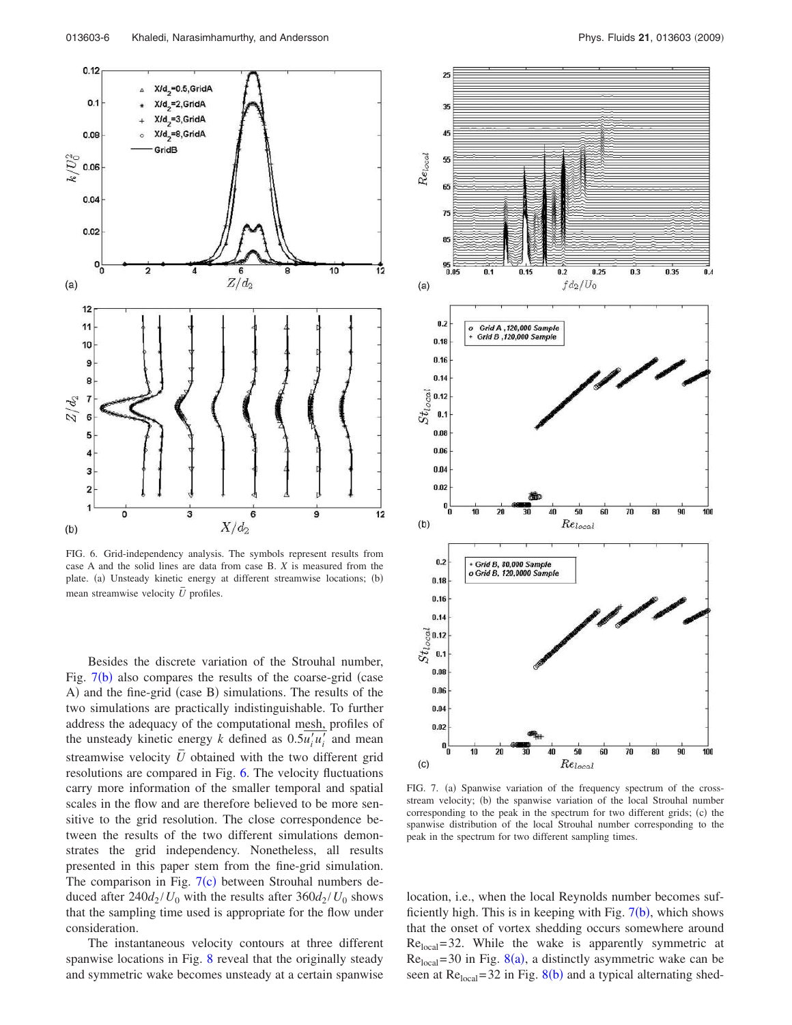

FIG. 6. Grid-independency analysis. The symbols represent results from case A and the solid lines are data from case B. *X* is measured from the plate. (a) Unsteady kinetic energy at different streamwise locations; (b) mean streamwise velocity *U* profiles.

Besides the discrete variation of the Strouhal number, Fig.  $7(b)$  also compares the results of the coarse-grid (case A) and the fine-grid (case B) simulations. The results of the two simulations are practically indistinguishable. To further address the adequacy of the computational mesh, profiles of the unsteady kinetic energy *k* defined as  $0.5u_i'u_i'$  and mean streamwise velocity *U* obtained with the two different grid resolutions are compared in Fig. 6. The velocity fluctuations carry more information of the smaller temporal and spatial scales in the flow and are therefore believed to be more sensitive to the grid resolution. The close correspondence between the results of the two different simulations demonstrates the grid independency. Nonetheless, all results presented in this paper stem from the fine-grid simulation. The comparison in Fig.  $7(c)$  between Strouhal numbers deduced after  $240d_2$ / $U_0$  with the results after  $360d_2$ / $U_0$  shows that the sampling time used is appropriate for the flow under consideration.

The instantaneous velocity contours at three different spanwise locations in Fig. 8 reveal that the originally steady and symmetric wake becomes unsteady at a certain spanwise



FIG. 7. (a) Spanwise variation of the frequency spectrum of the crossstream velocity; (b) the spanwise variation of the local Strouhal number corresponding to the peak in the spectrum for two different grids; (c) the spanwise distribution of the local Strouhal number corresponding to the peak in the spectrum for two different sampling times.

location, i.e., when the local Reynolds number becomes sufficiently high. This is in keeping with Fig.  $7(b)$ , which shows that the onset of vortex shedding occurs somewhere around  $Re<sub>local</sub> = 32$ . While the wake is apparently symmetric at  $Re<sub>local</sub> = 30$  in Fig. 8(a), a distinctly asymmetric wake can be seen at  $Re<sub>local</sub> = 32$  in Fig.  $8(b)$  and a typical alternating shed-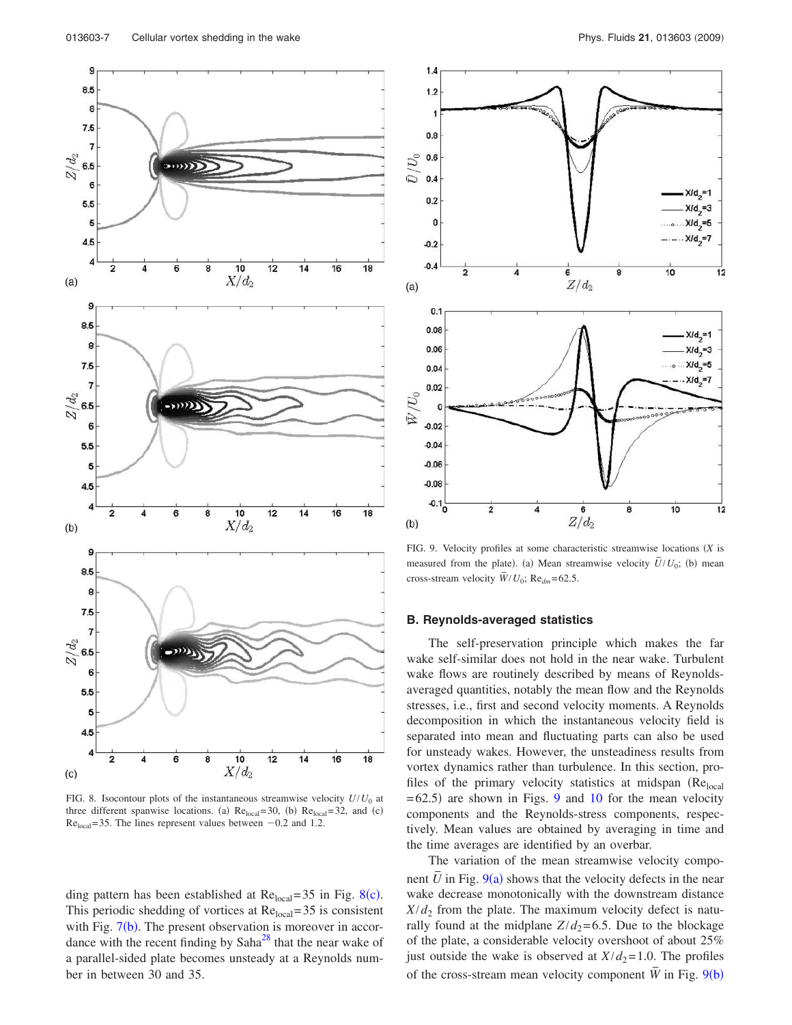

FIG. 8. Isocontour plots of the instantaneous streamwise velocity  $U/U_0$  at three different spanwise locations. (a)  $Re<sub>local</sub> = 30$ , (b)  $Re<sub>local</sub> = 32$ , and (c)  $Re<sub>local</sub> = 35$ . The lines represent values between  $-0.2$  and 1.2.

ding pattern has been established at  $Re<sub>local</sub> = 35$  in Fig. 8(c). This periodic shedding of vortices at  $Re<sub>local</sub> = 35$  is consistent with Fig.  $7(b)$ . The present observation is moreover in accordance with the recent finding by Saha<sup>28</sup> that the near wake of a parallel-sided plate becomes unsteady at a Reynolds number in between 30 and 35.



FIG. 9. Velocity profiles at some characteristic streamwise locations *X* is measured from the plate). (a) Mean streamwise velocity  $\bar{U}/U_0$ ; (b) mean cross-stream velocity  $\overline{W}/U_0$ ; Re<sub>dm</sub>=62.5.

### **B. Reynolds-averaged statistics**

The self-preservation principle which makes the far wake self-similar does not hold in the near wake. Turbulent wake flows are routinely described by means of Reynoldsaveraged quantities, notably the mean flow and the Reynolds stresses, i.e., first and second velocity moments. A Reynolds decomposition in which the instantaneous velocity field is separated into mean and fluctuating parts can also be used for unsteady wakes. However, the unsteadiness results from vortex dynamics rather than turbulence. In this section, profiles of the primary velocity statistics at midspan  $(Re<sub>local</sub>$  $(62.5)$  are shown in Figs. 9 and 10 for the mean velocity components and the Reynolds-stress components, respectively. Mean values are obtained by averaging in time and the time averages are identified by an overbar.

The variation of the mean streamwise velocity component  $\overline{U}$  in Fig.  $9(a)$  shows that the velocity defects in the near wake decrease monotonically with the downstream distance  $X/d_2$  from the plate. The maximum velocity defect is naturally found at the midplane  $Z/d_2=6.5$ . Due to the blockage of the plate, a considerable velocity overshoot of about 25% just outside the wake is observed at  $X/d_2 = 1.0$ . The profiles of the cross-stream mean velocity component  $\overline{W}$  in Fig. 9(b)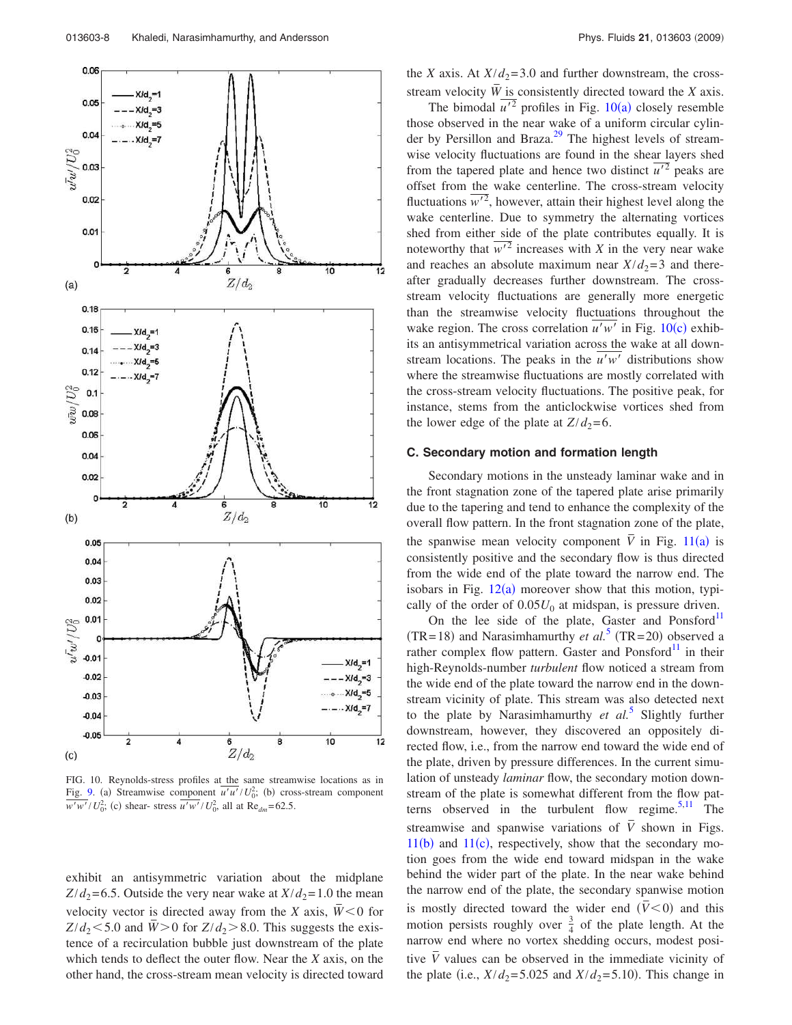

FIG. 10. Reynolds-stress profiles at the same streamwise locations as in Fig. 9. (a) Streamwise component  $\overline{u'u'}/U_0^2$ ; (b) cross-stream component  $\frac{w'w'}{U_0^2}$ ; (c) shear- stress  $\frac{u'w'}{U_0^2}$ , all at Re<sub>*dm*</sub> = 62.5.

exhibit an antisymmetric variation about the midplane  $Z/d_2$ =6.5. Outside the very near wake at  $X/d_2$ =1.0 the mean velocity vector is directed away from the *X* axis,  $\bar{W}$  < 0 for  $Z/d_2$  < 5.0 and  $\bar{W}$  > 0 for  $Z/d_2$  > 8.0. This suggests the existence of a recirculation bubble just downstream of the plate which tends to deflect the outer flow. Near the *X* axis, on the other hand, the cross-stream mean velocity is directed toward the *X* axis. At  $X/d_2 = 3.0$  and further downstream, the crossstream velocity  $\overline{W}$  is consistently directed toward the *X* axis.

The bimodal  $\overline{u'^2}$  profiles in Fig. 10(a) closely resemble those observed in the near wake of a uniform circular cylinder by Persillon and Braza. $^{29}$  The highest levels of streamwise velocity fluctuations are found in the shear layers shed from the tapered plate and hence two distinct  $\overline{u'^2}$  peaks are offset from the wake centerline. The cross-stream velocity fluctuations  $\overline{w'^2}$ , however, attain their highest level along the wake centerline. Due to symmetry the alternating vortices shed from either side of the plate contributes equally. It is noteworthy that  $\overline{w'^2}$  increases with *X* in the very near wake and reaches an absolute maximum near  $X/d_2=3$  and thereafter gradually decreases further downstream. The crossstream velocity fluctuations are generally more energetic than the streamwise velocity fluctuations throughout the wake region. The cross correlation  $\overline{u'w'}$  in Fig. 10(c) exhibits an antisymmetrical variation across the wake at all downstream locations. The peaks in the  $u'w'$  distributions show where the streamwise fluctuations are mostly correlated with the cross-stream velocity fluctuations. The positive peak, for instance, stems from the anticlockwise vortices shed from the lower edge of the plate at  $Z/d_2=6$ .

## **C. Secondary motion and formation length**

Secondary motions in the unsteady laminar wake and in the front stagnation zone of the tapered plate arise primarily due to the tapering and tend to enhance the complexity of the overall flow pattern. In the front stagnation zone of the plate, the spanwise mean velocity component  $\overline{V}$  in Fig. 11(a) is consistently positive and the secondary flow is thus directed from the wide end of the plate toward the narrow end. The isobars in Fig.  $12(a)$  moreover show that this motion, typically of the order of  $0.05U_0$  at midspan, is pressure driven.

On the lee side of the plate, Gaster and Ponsford $11$  $(TR=18)$  and Narasimhamurthy *et al.*<sup>5</sup> (TR=20) observed a rather complex flow pattern. Gaster and Ponsford $^{11}$  in their high-Reynolds-number *turbulent* flow noticed a stream from the wide end of the plate toward the narrow end in the downstream vicinity of plate. This stream was also detected next to the plate by Narasimhamurthy *et al.*<sup>5</sup> Slightly further downstream, however, they discovered an oppositely directed flow, i.e., from the narrow end toward the wide end of the plate, driven by pressure differences. In the current simulation of unsteady *laminar* flow, the secondary motion downstream of the plate is somewhat different from the flow patterns observed in the turbulent flow regime. $5,11$  The streamwise and spanwise variations of  $\overline{V}$  shown in Figs.  $11(b)$  and  $11(c)$ , respectively, show that the secondary motion goes from the wide end toward midspan in the wake behind the wider part of the plate. In the near wake behind the narrow end of the plate, the secondary spanwise motion is mostly directed toward the wider end  $(\bar{V} < 0)$  and this motion persists roughly over  $\frac{3}{4}$  of the plate length. At the narrow end where no vortex shedding occurs, modest positive  $\overline{V}$  values can be observed in the immediate vicinity of the plate (i.e.,  $X/d_2 = 5.025$  and  $X/d_2 = 5.10$ ). This change in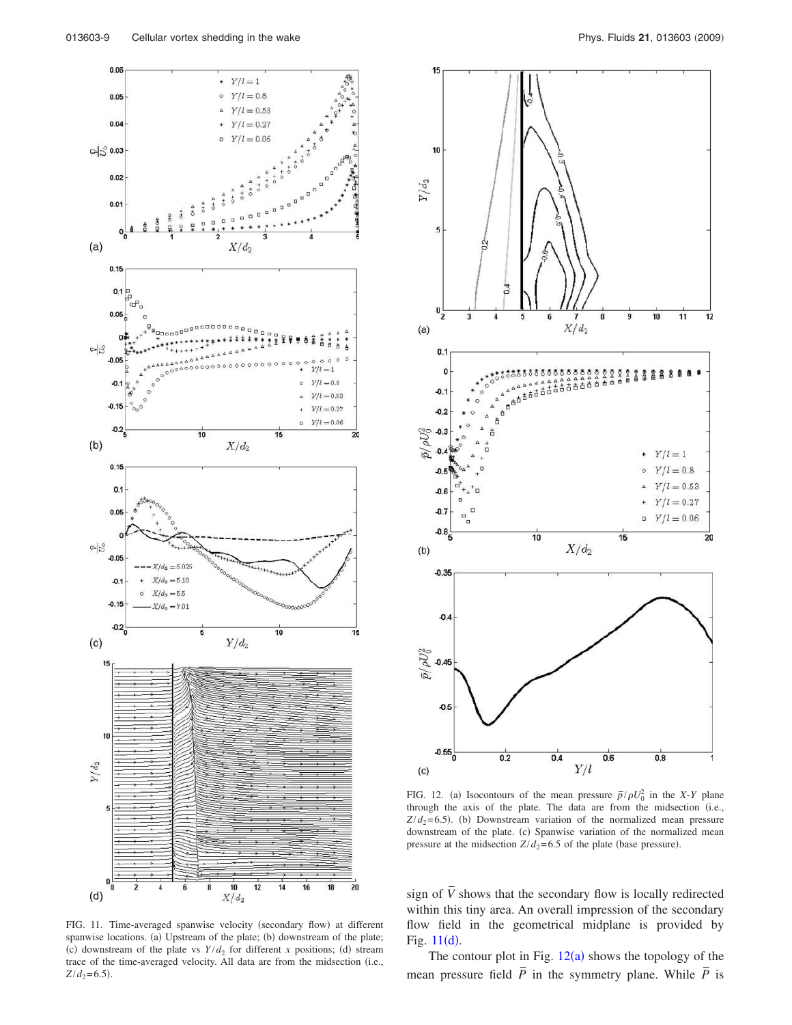

FIG. 11. Time-averaged spanwise velocity (secondary flow) at different spanwise locations. (a) Upstream of the plate; (b) downstream of the plate; (c) downstream of the plate vs  $Y/d_2$  for different *x* positions; (d) stream trace of the time-averaged velocity. All data are from the midsection (i.e.,  $Z/d_2 = 6.5$ .



FIG. 12. (a) Isocontours of the mean pressure  $\bar{p}/\rho U_0^2$  in the *X-Y* plane through the axis of the plate. The data are from the midsection (i.e.,  $Z/d_2=6.5$ ). (b) Downstream variation of the normalized mean pressure downstream of the plate. (c) Spanwise variation of the normalized mean pressure at the midsection  $Z/d_2 = 6.5$  of the plate (base pressure).

sign of  $\overline{V}$  shows that the secondary flow is locally redirected within this tiny area. An overall impression of the secondary flow field in the geometrical midplane is provided by Fig.  $11(d)$ .

The contour plot in Fig.  $12(a)$  shows the topology of the mean pressure field  $\overline{P}$  in the symmetry plane. While  $\overline{P}$  is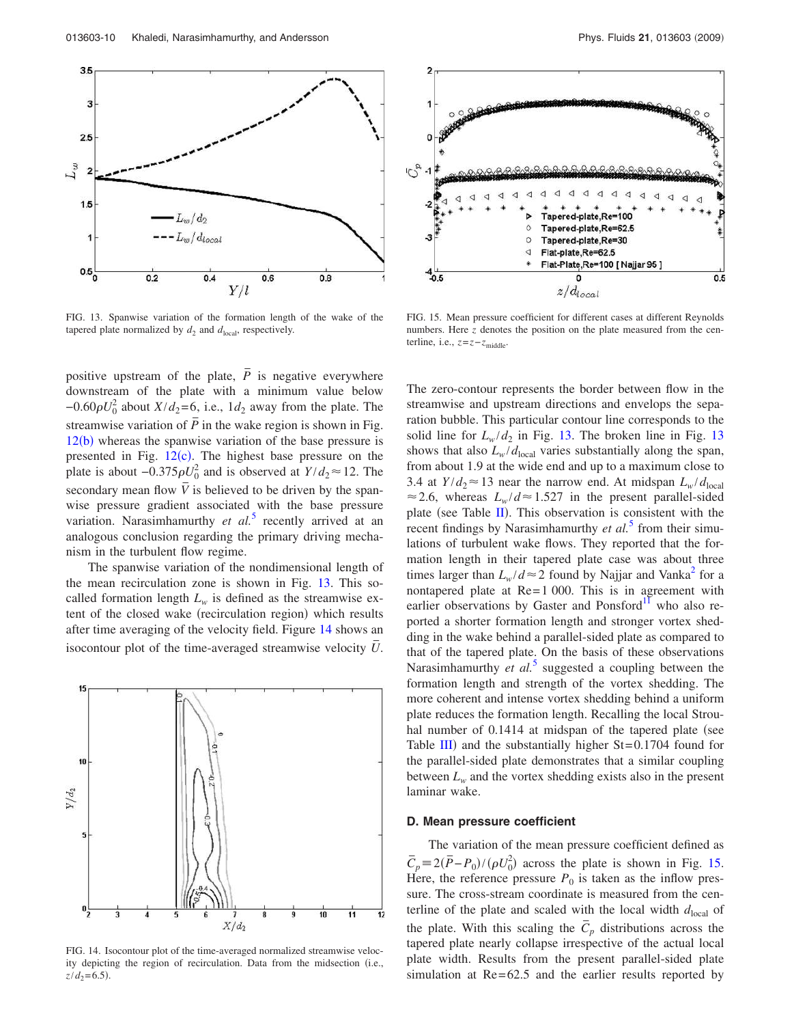

FIG. 13. Spanwise variation of the formation length of the wake of the tapered plate normalized by  $d_2$  and  $d_{\text{local}}$ , respectively.

positive upstream of the plate,  $\overline{P}$  is negative everywhere downstream of the plate with a minimum value below  $-0.60\rho U_0^2$  about *X*/*d*<sub>2</sub>=6, i.e., 1*d*<sub>2</sub> away from the plate. The streamwise variation of  $\overline{P}$  in the wake region is shown in Fig.  $12(b)$  whereas the spanwise variation of the base pressure is presented in Fig.  $12(c)$ . The highest base pressure on the plate is about  $-0.375 \rho U_0^2$  and is observed at *Y* /*d*<sub>2</sub> ≈ 12. The secondary mean flow  $\overline{V}$  is believed to be driven by the spanwise pressure gradient associated with the base pressure variation. Narasimhamurthy *et al.*<sup>5</sup> recently arrived at an analogous conclusion regarding the primary driving mechanism in the turbulent flow regime.

The spanwise variation of the nondimensional length of the mean recirculation zone is shown in Fig. 13. This socalled formation length  $L_w$  is defined as the streamwise extent of the closed wake (recirculation region) which results after time averaging of the velocity field. Figure 14 shows an isocontour plot of the time-averaged streamwise velocity  $\overline{U}$ .



FIG. 14. Isocontour plot of the time-averaged normalized streamwise velocity depicting the region of recirculation. Data from the midsection (i.e.,  $z/d_2 = 6.5$ .



FIG. 15. Mean pressure coefficient for different cases at different Reynolds numbers. Here *z* denotes the position on the plate measured from the centerline, i.e., *z*=*z*−*z*middle.

The zero-contour represents the border between flow in the streamwise and upstream directions and envelops the separation bubble. This particular contour line corresponds to the solid line for  $L_w/d_2$  in Fig. 13. The broken line in Fig. 13 shows that also  $L_w/d_{\text{local}}$  varies substantially along the span, from about 1.9 at the wide end and up to a maximum close to 3.4 at  $Y/d_2 \approx 13$  near the narrow end. At midspan  $L_w/d_{\text{local}}$  $\approx$  2.6, whereas  $L_w/d \approx 1.527$  in the present parallel-sided plate (see Table  $II$ ). This observation is consistent with the recent findings by Narasimhamurthy *et al.*<sup>5</sup> from their simulations of turbulent wake flows. They reported that the formation length in their tapered plate case was about three times larger than  $L_w/d \approx 2$  found by Najjar and Vanka<sup>2</sup> for a nontapered plate at Re=1 000. This is in agreement with earlier observations by Gaster and Ponsford $^{11}$  who also reported a shorter formation length and stronger vortex shedding in the wake behind a parallel-sided plate as compared to that of the tapered plate. On the basis of these observations Narasimhamurthy *et al.*<sup>5</sup> suggested a coupling between the formation length and strength of the vortex shedding. The more coherent and intense vortex shedding behind a uniform plate reduces the formation length. Recalling the local Strouhal number of 0.1414 at midspan of the tapered plate (see Table  $III$ ) and the substantially higher St=0.1704 found for the parallel-sided plate demonstrates that a similar coupling between  $L<sub>w</sub>$  and the vortex shedding exists also in the present laminar wake.

#### **D. Mean pressure coefficient**

The variation of the mean pressure coefficient defined as  $\overline{C}_p \equiv 2(\overline{P} - P_0)/(\rho U_0^2)$  across the plate is shown in Fig. 15. Here, the reference pressure  $P_0$  is taken as the inflow pressure. The cross-stream coordinate is measured from the centerline of the plate and scaled with the local width  $d_{\text{local}}$  of the plate. With this scaling the  $\overline{C}_p$  distributions across the tapered plate nearly collapse irrespective of the actual local plate width. Results from the present parallel-sided plate simulation at Re=62.5 and the earlier results reported by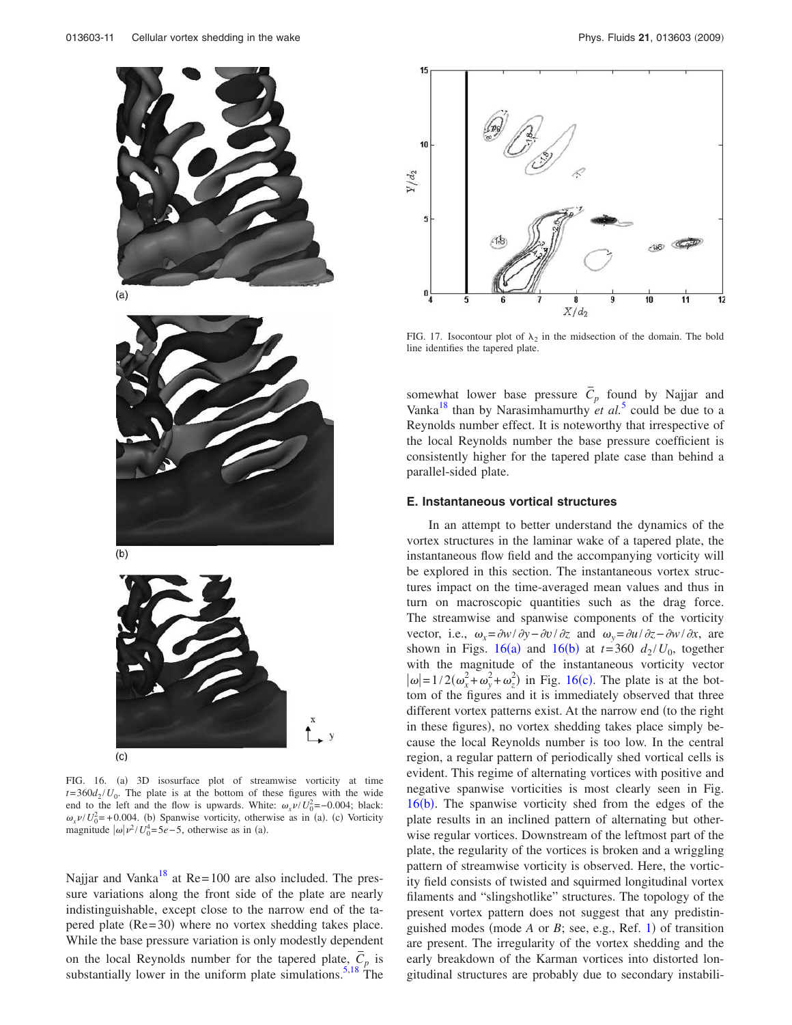



 $(b)$ 



FIG. 16. (a) 3D isosurface plot of streamwise vorticity at time  $t = 360d_2/U_0$ . The plate is at the bottom of these figures with the wide end to the left and the flow is upwards. White:  $\omega_x v / U_0^2 = -0.004$ ; black:  $\omega_x \nu / U_0^2$  = +0.004. (b) Spanwise vorticity, otherwise as in (a). (c) Vorticity magnitude  $|\omega|v^2/U_0^4$ =5*e*−5, otherwise as in (a).

Najjar and Vanka<sup>18</sup> at Re=100 are also included. The pressure variations along the front side of the plate are nearly indistinguishable, except close to the narrow end of the tapered plate (Re=30) where no vortex shedding takes place. While the base pressure variation is only modestly dependent on the local Reynolds number for the tapered plate,  $\overline{C}_p$  is substantially lower in the uniform plate simulations.  $5.18$  The



FIG. 17. Isocontour plot of  $\lambda_2$  in the midsection of the domain. The bold line identifies the tapered plate.

somewhat lower base pressure  $\overline{C}_p$  found by Najjar and Vanka<sup>18</sup> than by Narasimhamurthy  $\int e^t dt$  could be due to a Reynolds number effect. It is noteworthy that irrespective of the local Reynolds number the base pressure coefficient is consistently higher for the tapered plate case than behind a parallel-sided plate.

## **E. Instantaneous vortical structures**

In an attempt to better understand the dynamics of the vortex structures in the laminar wake of a tapered plate, the instantaneous flow field and the accompanying vorticity will be explored in this section. The instantaneous vortex structures impact on the time-averaged mean values and thus in turn on macroscopic quantities such as the drag force. The streamwise and spanwise components of the vorticity vector, i.e.,  $\omega_x = \frac{\partial w}{\partial y} - \frac{\partial v}{\partial z}$  and  $\omega_y = \frac{\partial u}{\partial z} - \frac{\partial w}{\partial x}$ , are shown in Figs.  $16(a)$  and  $16(b)$  at  $t=360$   $d_2/U_0$ , together with the magnitude of the instantaneous vorticity vector  $|\omega|=1/2(\omega_x^2+\omega_y^2+\omega_z^2)$  in Fig. 16(c). The plate is at the bottom of the figures and it is immediately observed that three different vortex patterns exist. At the narrow end (to the right in these figures), no vortex shedding takes place simply because the local Reynolds number is too low. In the central region, a regular pattern of periodically shed vortical cells is evident. This regime of alternating vortices with positive and negative spanwise vorticities is most clearly seen in Fig. 16(b). The spanwise vorticity shed from the edges of the plate results in an inclined pattern of alternating but otherwise regular vortices. Downstream of the leftmost part of the plate, the regularity of the vortices is broken and a wriggling pattern of streamwise vorticity is observed. Here, the vorticity field consists of twisted and squirmed longitudinal vortex filaments and "slingshotlike" structures. The topology of the present vortex pattern does not suggest that any predistinguished modes (mode  $A$  or  $B$ ; see, e.g., Ref. 1) of transition are present. The irregularity of the vortex shedding and the early breakdown of the Karman vortices into distorted longitudinal structures are probably due to secondary instabili-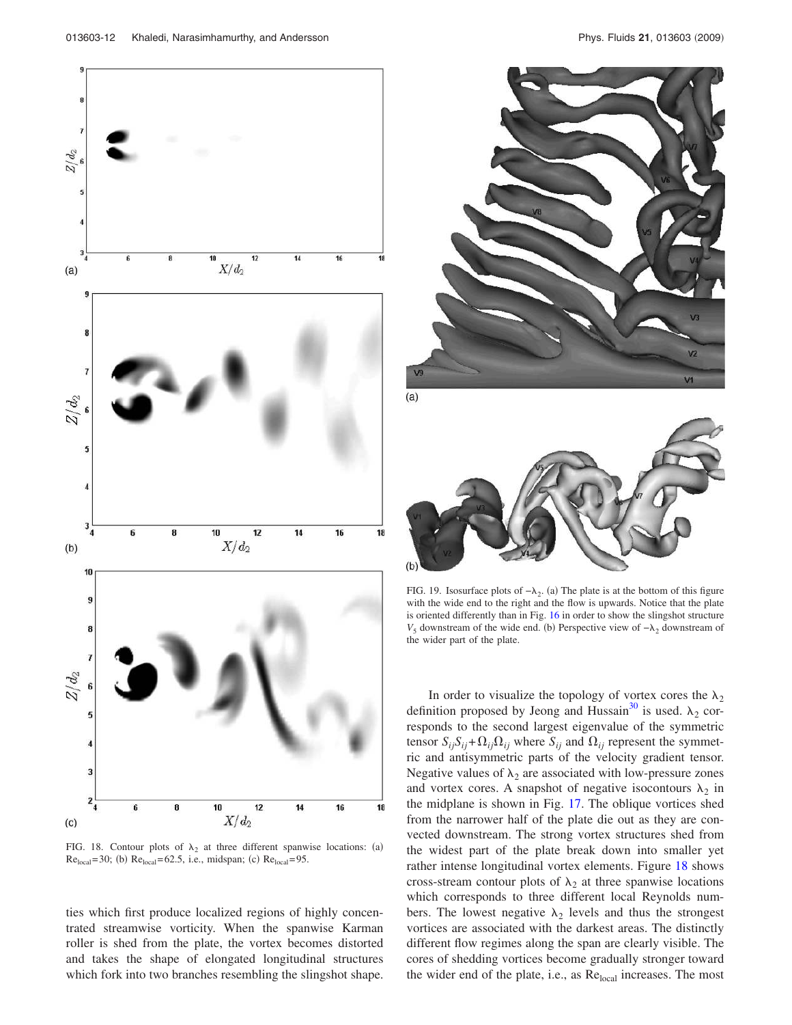

FIG. 18. Contour plots of  $\lambda_2$  at three different spanwise locations: (a)  $Re<sub>local</sub>=30$ ; (b)  $Re<sub>local</sub>=62.5$ , i.e., midspan; (c)  $Re<sub>local</sub>=95$ .

ties which first produce localized regions of highly concentrated streamwise vorticity. When the spanwise Karman roller is shed from the plate, the vortex becomes distorted and takes the shape of elongated longitudinal structures which fork into two branches resembling the slingshot shape.





FIG. 19. Isosurface plots of  $-\lambda_2$ . (a) The plate is at the bottom of this figure with the wide end to the right and the flow is upwards. Notice that the plate is oriented differently than in Fig. 16 in order to show the slingshot structure  $V_5$  downstream of the wide end. (b) Perspective view of  $-\lambda_2$  downstream of the wider part of the plate.

In order to visualize the topology of vortex cores the  $\lambda_2$ definition proposed by Jeong and Hussain<sup>30</sup> is used.  $\lambda_2$  corresponds to the second largest eigenvalue of the symmetric tensor  $S_{ij}S_{ij} + \Omega_{ij}\Omega_{ij}$  where  $S_{ij}$  and  $\Omega_{ij}$  represent the symmetric and antisymmetric parts of the velocity gradient tensor. Negative values of  $\lambda_2$  are associated with low-pressure zones and vortex cores. A snapshot of negative isocontours  $\lambda_2$  in the midplane is shown in Fig. 17. The oblique vortices shed from the narrower half of the plate die out as they are convected downstream. The strong vortex structures shed from the widest part of the plate break down into smaller yet rather intense longitudinal vortex elements. Figure 18 shows cross-stream contour plots of  $\lambda_2$  at three spanwise locations which corresponds to three different local Reynolds numbers. The lowest negative  $\lambda_2$  levels and thus the strongest vortices are associated with the darkest areas. The distinctly different flow regimes along the span are clearly visible. The cores of shedding vortices become gradually stronger toward the wider end of the plate, i.e., as Re<sub>local</sub> increases. The most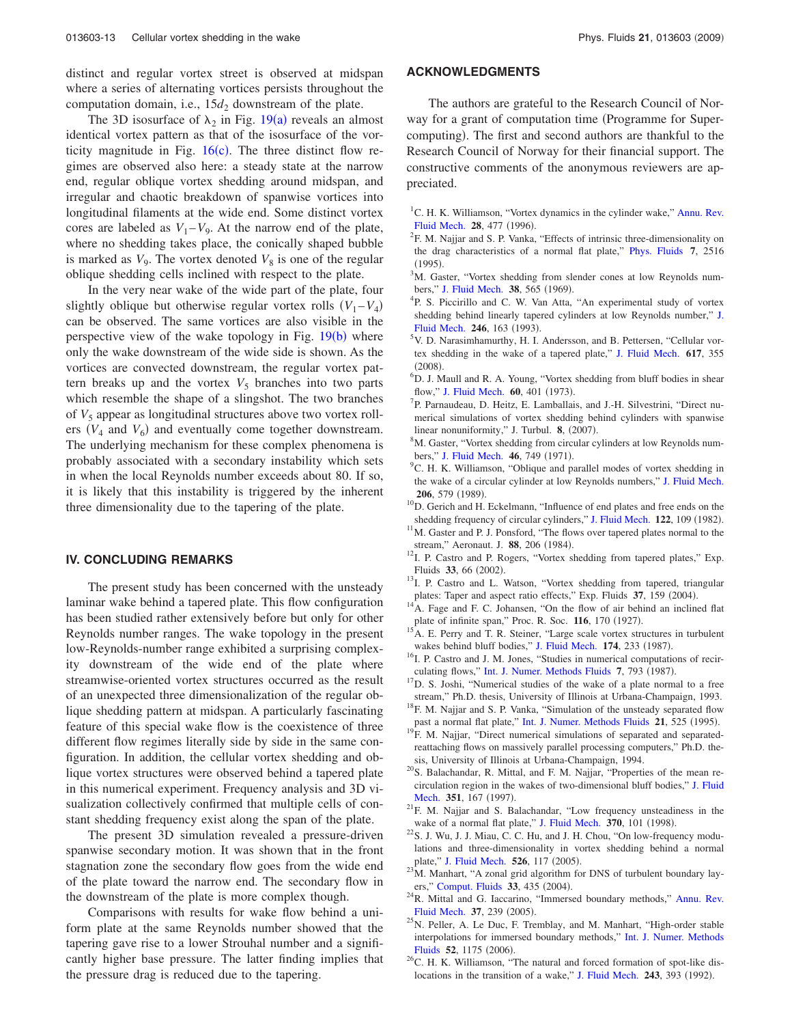distinct and regular vortex street is observed at midspan where a series of alternating vortices persists throughout the computation domain, i.e.,  $15d_2$  downstream of the plate.

The 3D isosurface of  $\lambda_2$  in Fig. 19(a) reveals an almost identical vortex pattern as that of the isosurface of the vorticity magnitude in Fig.  $16(c)$ . The three distinct flow regimes are observed also here: a steady state at the narrow end, regular oblique vortex shedding around midspan, and irregular and chaotic breakdown of spanwise vortices into longitudinal filaments at the wide end. Some distinct vortex cores are labeled as  $V_1 - V_9$ . At the narrow end of the plate, where no shedding takes place, the conically shaped bubble is marked as  $V_9$ . The vortex denoted  $V_8$  is one of the regular oblique shedding cells inclined with respect to the plate.

In the very near wake of the wide part of the plate, four slightly oblique but otherwise regular vortex rolls  $(V_1 - V_4)$ can be observed. The same vortices are also visible in the perspective view of the wake topology in Fig.  $19(b)$  where only the wake downstream of the wide side is shown. As the vortices are convected downstream, the regular vortex pattern breaks up and the vortex  $V<sub>5</sub>$  branches into two parts which resemble the shape of a slingshot. The two branches of  $V_5$  appear as longitudinal structures above two vortex rollers  $(V_4$  and  $V_6)$  and eventually come together downstream. The underlying mechanism for these complex phenomena is probably associated with a secondary instability which sets in when the local Reynolds number exceeds about 80. If so, it is likely that this instability is triggered by the inherent three dimensionality due to the tapering of the plate.

#### **IV. CONCLUDING REMARKS**

The present study has been concerned with the unsteady laminar wake behind a tapered plate. This flow configuration has been studied rather extensively before but only for other Reynolds number ranges. The wake topology in the present low-Reynolds-number range exhibited a surprising complexity downstream of the wide end of the plate where streamwise-oriented vortex structures occurred as the result of an unexpected three dimensionalization of the regular oblique shedding pattern at midspan. A particularly fascinating feature of this special wake flow is the coexistence of three different flow regimes literally side by side in the same configuration. In addition, the cellular vortex shedding and oblique vortex structures were observed behind a tapered plate in this numerical experiment. Frequency analysis and 3D visualization collectively confirmed that multiple cells of constant shedding frequency exist along the span of the plate.

The present 3D simulation revealed a pressure-driven spanwise secondary motion. It was shown that in the front stagnation zone the secondary flow goes from the wide end of the plate toward the narrow end. The secondary flow in the downstream of the plate is more complex though.

Comparisons with results for wake flow behind a uniform plate at the same Reynolds number showed that the tapering gave rise to a lower Strouhal number and a significantly higher base pressure. The latter finding implies that the pressure drag is reduced due to the tapering.

## **ACKNOWLEDGMENTS**

The authors are grateful to the Research Council of Norway for a grant of computation time (Programme for Supercomputing). The first and second authors are thankful to the Research Council of Norway for their financial support. The constructive comments of the anonymous reviewers are appreciated.

 ${}^{1}$ C. H. K. Williamson, "Vortex dynamics in the cylinder wake," Annu. Rev. Fluid Mech. 28, 477 (1996).

- ${}^{2}$ F. M. Najjar and S. P. Vanka, "Effects of intrinsic three-dimensionality on the drag characteristics of a normal flat plate," Phys. Fluids **7**, 2516  $(1995).$
- <sup>3</sup>M. Gaster, "Vortex shedding from slender cones at low Reynolds numbers," J. Fluid Mech. 38, 565 (1969).
- <sup>4</sup>P. S. Piccirillo and C. W. Van Atta, "An experimental study of vortex shedding behind linearly tapered cylinders at low Reynolds number," J. Fluid Mech. 246, 163 (1993).
- <sup>5</sup>V. D. Narasimhamurthy, H. I. Andersson, and B. Pettersen, "Cellular vortex shedding in the wake of a tapered plate," J. Fluid Mech. **617**, 355  $(2008).$
- ${}^{6}$ D. J. Maull and R. A. Young, "Vortex shedding from bluff bodies in shear flow," J. Fluid Mech. **60**, 401 (1973).
- <sup>7</sup>P. Parnaudeau, D. Heitz, E. Lamballais, and J.-H. Silvestrini, "Direct numerical simulations of vortex shedding behind cylinders with spanwise linear nonuniformity," J. Turbul. 8, (2007).
- <sup>8</sup>M. Gaster, "Vortex shedding from circular cylinders at low Reynolds numbers," J. Fluid Mech. 46, 749 (1971).
- <sup>9</sup>C. H. K. Williamson, "Oblique and parallel modes of vortex shedding in the wake of a circular cylinder at low Reynolds numbers," J. Fluid Mech. 206, 579 (1989).
- <sup>10</sup>D. Gerich and H. Eckelmann, "Influence of end plates and free ends on the shedding frequency of circular cylinders," J. Fluid Mech. 122, 109 (1982).
- <sup>11</sup>M. Gaster and P. J. Ponsford, "The flows over tapered plates normal to the stream," Aeronaut. J. 88, 206 (1984).
- <sup>12</sup>I. P. Castro and P. Rogers, "Vortex shedding from tapered plates," Exp. Fluids 33, 66 (2002).
- <sup>13</sup>I. P. Castro and L. Watson, "Vortex shedding from tapered, triangular
- plates: Taper and aspect ratio effects," Exp. Fluids **37**, 159 (2004).<br><sup>14</sup>A. Fage and F. C. Johansen, "On the flow of air behind an inclined flat plate of infinite span," Proc. R. Soc. 116, 170 (1927).
- <sup>15</sup>A. E. Perry and T. R. Steiner, "Large scale vortex structures in turbulent wakes behind bluff bodies," J. Fluid Mech. 174, 233 (1987).
- <sup>16</sup>I. P. Castro and J. M. Jones, "Studies in numerical computations of recirculating flows," Int. J. Numer. Methods Fluids 7, 793 (1987).
- $17$ D. S. Joshi, "Numerical studies of the wake of a plate normal to a free stream," Ph.D. thesis, University of Illinois at Urbana-Champaign, 1993.
- <sup>18</sup>F. M. Najjar and S. P. Vanka, "Simulation of the unsteady separated flow past a normal flat plate," Int. J. Numer. Methods Fluids 21, 525 (1995).
- <sup>19</sup>F. M. Najjar, "Direct numerical simulations of separated and separatedreattaching flows on massively parallel processing computers," Ph.D. thesis, University of Illinois at Urbana-Champaign, 1994.
- $20$ S. Balachandar, R. Mittal, and F. M. Najjar, "Properties of the mean recirculation region in the wakes of two-dimensional bluff bodies," J. Fluid Mech. 351, 167 (1997).
- $2^{1}$ F. M. Najjar and S. Balachandar, "Low frequency unsteadiness in the wake of a normal flat plate," J. Fluid Mech. 370, 101 (1998).
- $22$ S. J. Wu, J. J. Miau, C. C. Hu, and J. H. Chou, "On low-frequency modulations and three-dimensionality in vortex shedding behind a normal plate," J. Fluid Mech. 526, 117 (2005).
- $^{23}$ M. Manhart, "A zonal grid algorithm for DNS of turbulent boundary layers," Comput. Fluids 33, 435 (2004).
- <sup>24</sup>R. Mittal and G. Iaccarino, "Immersed boundary methods," Annu. Rev. Fluid Mech. 37, 239 (2005).
- <sup>25</sup>N. Peller, A. Le Duc, F. Tremblay, and M. Manhart, "High-order stable interpolations for immersed boundary methods," Int. J. Numer. Methods Fluids 52, 1175 (2006).
- $26$ C. H. K. Williamson, "The natural and forced formation of spot-like dislocations in the transition of a wake," J. Fluid Mech. 243, 393 (1992).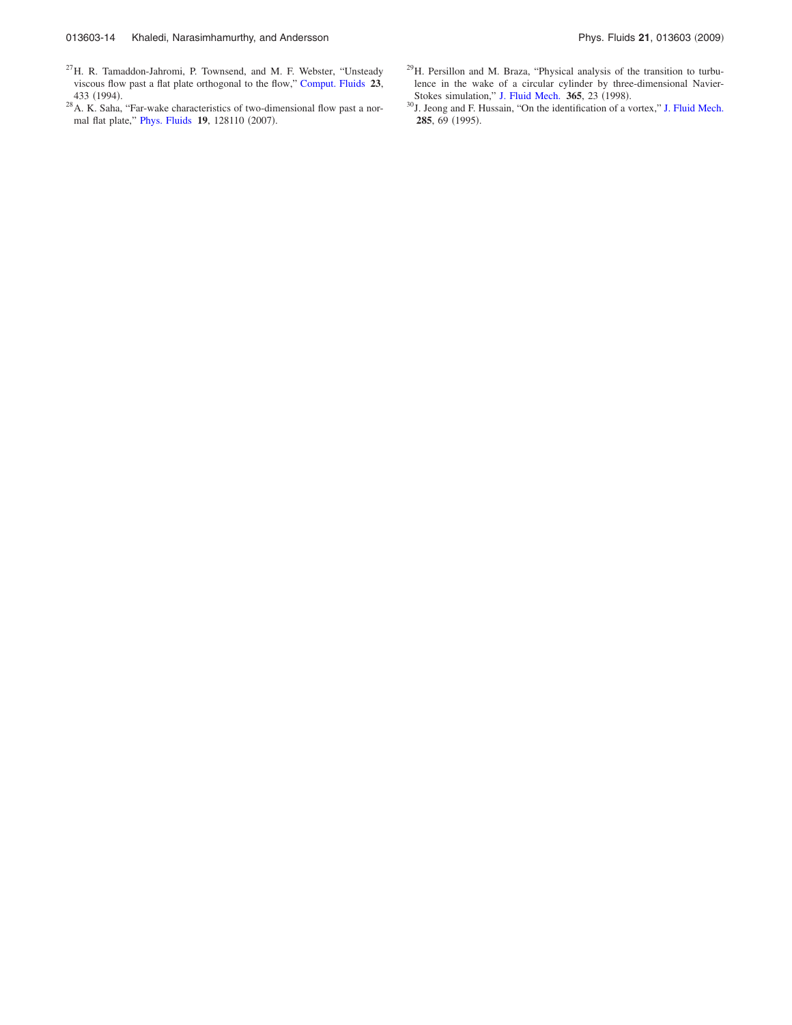- <sup>27</sup>H. R. Tamaddon-Jahromi, P. Townsend, and M. F. Webster, "Unsteady viscous flow past a flat plate orthogonal to the flow," Comput. Fluids **23**, 433 (1994).
- $28$ A. K. Saha, "Far-wake characteristics of two-dimensional flow past a normal flat plate," Phys. Fluids 19, 128110 (2007).
- <sup>29</sup>H. Persillon and M. Braza, "Physical analysis of the transition to turbulence in the wake of a circular cylinder by three-dimensional Navier-Stokes simulation," J. Fluid Mech. **365**, 23 (1998).
- $30J$ . Jeong and F. Hussain, "On the identification of a vortex," J. Fluid Mech. 285, 69 (1995).